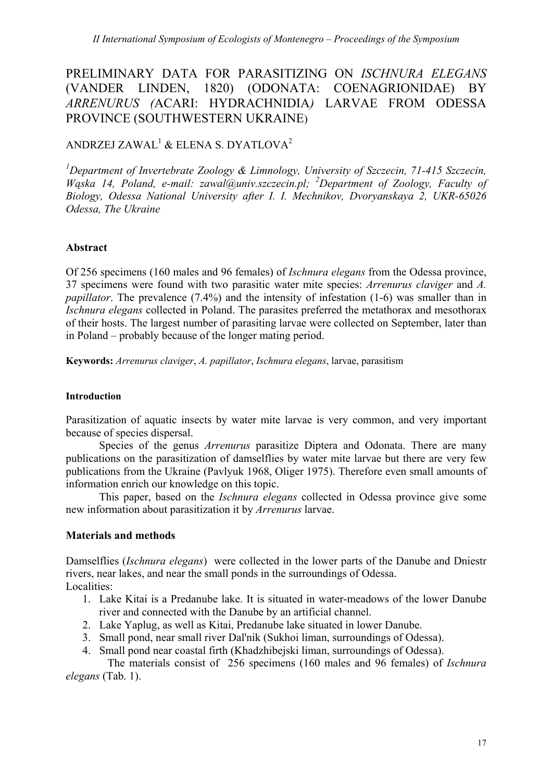# PRELIMINARY DATA FOR PARASITIZING ON *ISCHNURA ELEGANS*  (VANDER LINDEN, 1820) (ODONATA: COENAGRIONIDAE) BY *ARRENURUS (*ACARI: HYDRACHNIDIA*)* LARVAE FROM ODESSA PROVINCE (SOUTHWESTERN UKRAINE)

## ANDRZEJ ZAWAL $^{\rm l}$  & ELENA S. DYATLOVA $^{\rm 2}$

<sup>1</sup>Department of Invertebrate Zoology & Limnology, University of Szczecin, 71-415 Szczecin, *Wąska 14, Poland, e-mail: zawal@univ.szczecin.pl; <sup>2</sup> Department of Zoology, Faculty of Biology, Odessa National University after I. I. Mechnikov, Dvoryanskaya 2, UKR-65026 Odessa, The Ukraine*

## **Abstract**

Of 256 specimens (160 males and 96 females) of *Ischnura elegans* from the Odessa province, 37 specimens were found with two parasitic water mite species: *Arrenurus claviger* and *A. papillator*. The prevalence (7.4%) and the intensity of infestation (1-6) was smaller than in *Ischnura elegans* collected in Poland. The parasites preferred the metathorax and mesothorax of their hosts. The largest number of parasiting larvae were collected on September, later than in Poland – probably because of the longer mating period.

**Keywords:** *Arrenurus claviger*, *A. papillator*, *Ischnura elegans*, larvae, parasitism

## **Introduction**

Parasitization of aquatic insects by water mite larvae is very common, and very important because of species dispersal.

Species of the genus *Arrenurus* parasitize Diptera and Odonata. There are many publications on the parasitization of damselflies by water mite larvae but there are very few publications from the Ukraine (Pavlyuk 1968, Oliger 1975). Therefore even small amounts of information enrich our knowledge on this topic.

This paper, based on the *Ischnura elegans* collected in Odessa province give some new information about parasitization it by *Arrenurus* larvae.

## **Materials and methods**

Damselflies (*Ischnura elegans*) were collected in the lower parts of the Danube and Dniestr rivers, near lakes, and near the small ponds in the surroundings of Odessa. Localities:

- 1. Lake Kitai is a Predanube lake. It is situated in water-meadows of the lower Danube river and connected with the Danube by an artificial channel.
- 2. Lake Yaplug, as well as Kitai, Predanube lake situated in lower Danube.
- 3. Small pond, near small river Dal'nik (Sukhoi liman, surroundings of Odessa).
- 4. Small pond near coastal firth (Khadzhibejski liman, surroundings of Odessa).

The materials consist of 256 specimens (160 males and 96 females) of *Ischnura elegans* (Tab. 1).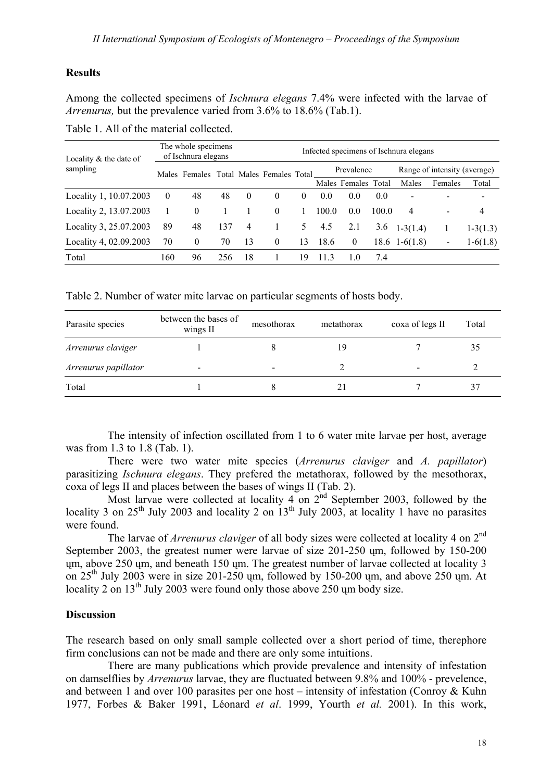### **Results**

Among the collected specimens of *Ischnura elegans* 7.4% were infected with the larvae of *Arrenurus,* but the prevalence varied from 3.6% to 18.6% (Tab.1).

|--|

| Locality $&$ the date of<br>sampling | The whole specimens<br>of Ischnura elegans |                                         |     | Infected specimens of Ischnura elegans |          |          |            |                     |       |                              |                          |            |
|--------------------------------------|--------------------------------------------|-----------------------------------------|-----|----------------------------------------|----------|----------|------------|---------------------|-------|------------------------------|--------------------------|------------|
|                                      |                                            | Males Females Total Males Females Total |     |                                        |          |          | Prevalence |                     |       | Range of intensity (average) |                          |            |
|                                      |                                            |                                         |     |                                        |          |          |            | Males Females Total |       | Males                        | Females                  | Total      |
| Locality 1, 10.07.2003               | $\overline{0}$                             | 48                                      | 48  | $\theta$                               | $\theta$ | $\theta$ | 0.0        | 0.0                 | 0.0   | $\overline{\phantom{a}}$     |                          |            |
| Locality 2, 13.07.2003               |                                            | $\theta$                                |     |                                        | $\theta$ |          | 100.0      | 0.0                 | 100.0 | 4                            | $\overline{\phantom{0}}$ | 4          |
| Locality 3, 25.07.2003               | 89                                         | 48                                      | 137 | 4                                      |          | 5.       | 4.5        | 2.1                 | 3.6   | $1-3(1.4)$                   |                          | $1-3(1.3)$ |
| Locality 4, 02.09.2003               | 70                                         | $\theta$                                | 70  | 13                                     | $\theta$ | 13       | 18.6       | $\theta$            |       | $18.6 \quad 1-6(1.8)$        |                          | $1-6(1.8)$ |
| Total                                | 160                                        | 96                                      | 256 | 18                                     |          | 19       | 11.3       | 1.0                 | 7.4   |                              |                          |            |

Table 2. Number of water mite larvae on particular segments of hosts body.

| Parasite species     | between the bases of<br>wings $II$ | mesothorax | metathorax | coxa of legs II | Total |
|----------------------|------------------------------------|------------|------------|-----------------|-------|
| Arrenurus claviger   |                                    |            | 19         |                 |       |
| Arrenurus papillator |                                    |            |            |                 |       |
| Total                |                                    |            |            |                 |       |

The intensity of infection oscillated from 1 to 6 water mite larvae per host, average was from 1.3 to 1.8 (Tab. 1).

There were two water mite species (*Arrenurus claviger* and *A. papillator*) parasitizing *Ischnura elegans*. They prefered the metathorax, followed by the mesothorax, coxa of legs II and places between the bases of wings II (Tab. 2).

Most larvae were collected at locality 4 on  $2<sup>nd</sup>$  September 2003, followed by the locality 3 on  $25<sup>th</sup>$  July 2003 and locality 2 on  $13<sup>th</sup>$  July 2003, at locality 1 have no parasites were found.

The larvae of *Arrenurus claviger* of all body sizes were collected at locality 4 on 2<sup>nd</sup> September 2003, the greatest numer were larvae of size 201-250 ųm, followed by 150-200 ųm, above 250 ųm, and beneath 150 ųm. The greatest number of larvae collected at locality 3 on  $25<sup>th</sup>$  July 2003 were in size 201-250 um, followed by 150-200 um, and above 250 um. At locality 2 on 13<sup>th</sup> July 2003 were found only those above 250 um body size.

#### **Discussion**

The research based on only small sample collected over a short period of time, therephore firm conclusions can not be made and there are only some intuitions.

There are many publications which provide prevalence and intensity of infestation on damselflies by *Arrenurus* larvae, they are fluctuated between 9.8% and 100% - prevelence, and between 1 and over 100 parasites per one host – intensity of infestation (Conroy & Kuhn 1977, Forbes & Baker 1991, Léonard *et al*. 1999, Yourth *et al.* 2001). In this work,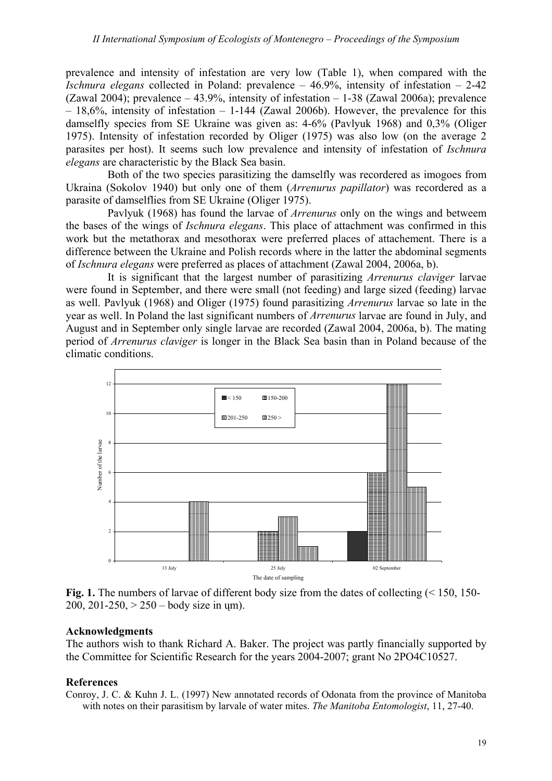prevalence and intensity of infestation are very low (Table 1), when compared with the *Ischnura elegans* collected in Poland: prevalence – 46.9%, intensity of infestation – 2-42 (Zawal 2004); prevalence – 43.9%, intensity of infestation – 1-38 (Zawal 2006a); prevalence  $-18,6\%$ , intensity of infestation  $-1-144$  (Zawal 2006b). However, the prevalence for this damselfly species from SE Ukraine was given as: 4-6% (Pavlyuk 1968) and 0,3% (Oliger 1975). Intensity of infestation recorded by Oliger (1975) was also low (on the average 2 parasites per host). It seems such low prevalence and intensity of infestation of *Ischnura elegans* are characteristic by the Black Sea basin.

Both of the two species parasitizing the damselfly was recordered as imogoes from Ukraina (Sokolov 1940) but only one of them (*Arrenurus papillator*) was recordered as a parasite of damselflies from SE Ukraine (Oliger 1975).

Pavlyuk (1968) has found the larvae of *Arrenurus* only on the wings and betweem the bases of the wings of *Ischnura elegans*. This place of attachment was confirmed in this work but the metathorax and mesothorax were preferred places of attachement. There is a difference between the Ukraine and Polish records where in the latter the abdominal segments of *Ischnura elegans* were preferred as places of attachment (Zawal 2004, 2006a, b).

It is significant that the largest number of parasitizing *Arrenurus claviger* larvae were found in September, and there were small (not feeding) and large sized (feeding) larvae as well. Pavlyuk (1968) and Oliger (1975) found parasitizing *Arrenurus* larvae so late in the year as well. In Poland the last significant numbers of *Arrenurus* larvae are found in July, and August and in September only single larvae are recorded (Zawal 2004, 2006a, b). The mating period of *Arrenurus claviger* is longer in the Black Sea basin than in Poland because of the climatic conditions.



Fig. 1. The numbers of larvae of different body size from the dates of collecting (< 150, 150-200, 201-250,  $> 250 -$  body size in um).

#### **Acknowledgments**

The authors wish to thank Richard A. Baker. The project was partly financially supported by the Committee for Scientific Research for the years 2004-2007; grant No 2PO4C10527.

#### **References**

Conroy, J. C. & Kuhn J. L. (1997) New annotated records of Odonata from the province of Manitoba with notes on their parasitism by larvale of water mites. *The Manitoba Entomologist*, 11, 27-40.